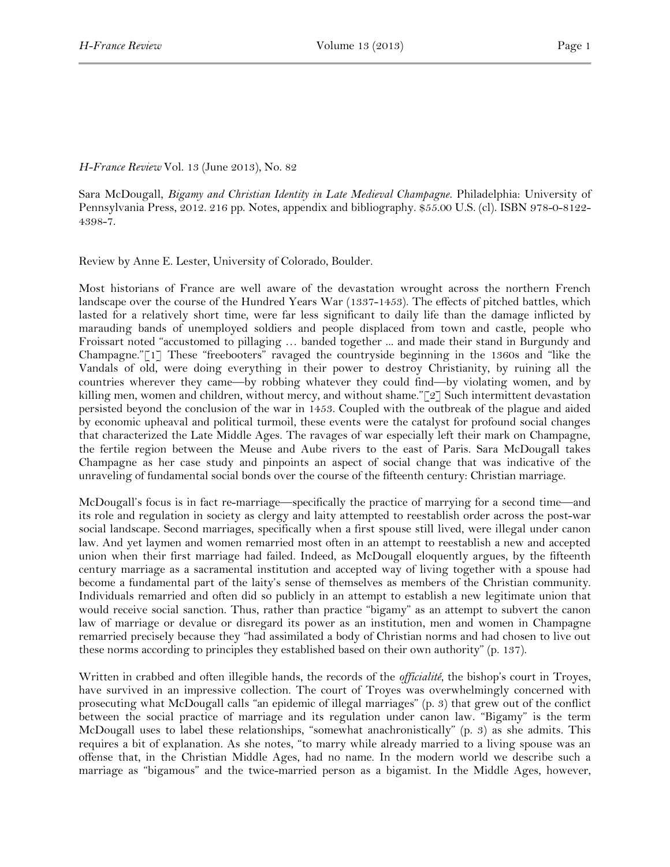## *H-France Review* Vol. 13 (June 2013), No. 82

Sara McDougall, *Bigamy and Christian Identity in Late Medieval Champagne*. Philadelphia: University of Pennsylvania Press, 2012. 216 pp. Notes, appendix and bibliography. \$55.00 U.S. (cl). ISBN 978-0-8122- 4398-7.

Review by Anne E. Lester, University of Colorado, Boulder.

Most historians of France are well aware of the devastation wrought across the northern French landscape over the course of the Hundred Years War (1337-1453). The effects of pitched battles, which lasted for a relatively short time, were far less significant to daily life than the damage inflicted by marauding bands of unemployed soldiers and people displaced from town and castle, people who Froissart noted "accustomed to pillaging … banded together ... and made their stand in Burgundy and Champagne."[1] These "freebooters" ravaged the countryside beginning in the 1360s and "like the Vandals of old, were doing everything in their power to destroy Christianity, by ruining all the countries wherever they came—by robbing whatever they could find—by violating women, and by killing men, women and children, without mercy, and without shame."[2] Such intermittent devastation persisted beyond the conclusion of the war in 1453. Coupled with the outbreak of the plague and aided by economic upheaval and political turmoil, these events were the catalyst for profound social changes that characterized the Late Middle Ages. The ravages of war especially left their mark on Champagne, the fertile region between the Meuse and Aube rivers to the east of Paris. Sara McDougall takes Champagne as her case study and pinpoints an aspect of social change that was indicative of the unraveling of fundamental social bonds over the course of the fifteenth century: Christian marriage.

McDougall's focus is in fact re-marriage—specifically the practice of marrying for a second time—and its role and regulation in society as clergy and laity attempted to reestablish order across the post-war social landscape. Second marriages, specifically when a first spouse still lived, were illegal under canon law. And yet laymen and women remarried most often in an attempt to reestablish a new and accepted union when their first marriage had failed. Indeed, as McDougall eloquently argues, by the fifteenth century marriage as a sacramental institution and accepted way of living together with a spouse had become a fundamental part of the laity's sense of themselves as members of the Christian community. Individuals remarried and often did so publicly in an attempt to establish a new legitimate union that would receive social sanction. Thus, rather than practice "bigamy" as an attempt to subvert the canon law of marriage or devalue or disregard its power as an institution, men and women in Champagne remarried precisely because they "had assimilated a body of Christian norms and had chosen to live out these norms according to principles they established based on their own authority" (p. 137).

Written in crabbed and often illegible hands, the records of the *officialité*, the bishop's court in Troyes, have survived in an impressive collection. The court of Troyes was overwhelmingly concerned with prosecuting what McDougall calls "an epidemic of illegal marriages" (p. 3) that grew out of the conflict between the social practice of marriage and its regulation under canon law. "Bigamy" is the term McDougall uses to label these relationships, "somewhat anachronistically" (p. 3) as she admits. This requires a bit of explanation. As she notes, "to marry while already married to a living spouse was an offense that, in the Christian Middle Ages, had no name. In the modern world we describe such a marriage as "bigamous" and the twice-married person as a bigamist. In the Middle Ages, however,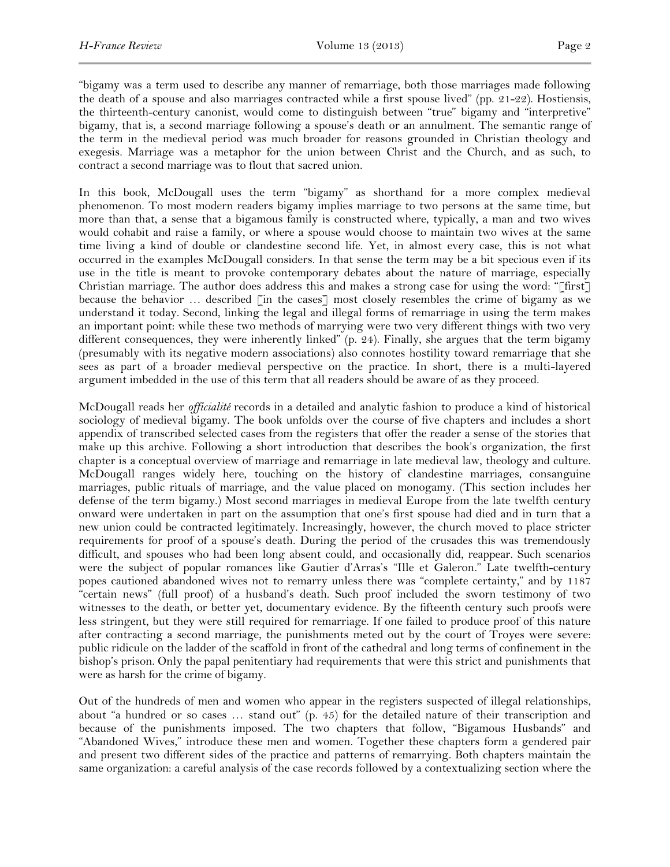"bigamy was a term used to describe any manner of remarriage, both those marriages made following the death of a spouse and also marriages contracted while a first spouse lived" (pp. 21-22). Hostiensis, the thirteenth-century canonist, would come to distinguish between "true" bigamy and "interpretive" bigamy, that is, a second marriage following a spouse's death or an annulment. The semantic range of the term in the medieval period was much broader for reasons grounded in Christian theology and exegesis. Marriage was a metaphor for the union between Christ and the Church, and as such, to contract a second marriage was to flout that sacred union.

In this book, McDougall uses the term "bigamy" as shorthand for a more complex medieval phenomenon. To most modern readers bigamy implies marriage to two persons at the same time, but more than that, a sense that a bigamous family is constructed where, typically, a man and two wives would cohabit and raise a family, or where a spouse would choose to maintain two wives at the same time living a kind of double or clandestine second life. Yet, in almost every case, this is not what occurred in the examples McDougall considers. In that sense the term may be a bit specious even if its use in the title is meant to provoke contemporary debates about the nature of marriage, especially Christian marriage. The author does address this and makes a strong case for using the word: "[first] because the behavior ... described [in the cases] most closely resembles the crime of bigamy as we understand it today. Second, linking the legal and illegal forms of remarriage in using the term makes an important point: while these two methods of marrying were two very different things with two very different consequences, they were inherently linked" (p. 24). Finally, she argues that the term bigamy (presumably with its negative modern associations) also connotes hostility toward remarriage that she sees as part of a broader medieval perspective on the practice. In short, there is a multi-layered argument imbedded in the use of this term that all readers should be aware of as they proceed.

McDougall reads her *officialité* records in a detailed and analytic fashion to produce a kind of historical sociology of medieval bigamy. The book unfolds over the course of five chapters and includes a short appendix of transcribed selected cases from the registers that offer the reader a sense of the stories that make up this archive. Following a short introduction that describes the book's organization, the first chapter is a conceptual overview of marriage and remarriage in late medieval law, theology and culture. McDougall ranges widely here, touching on the history of clandestine marriages, consanguine marriages, public rituals of marriage, and the value placed on monogamy. (This section includes her defense of the term bigamy.) Most second marriages in medieval Europe from the late twelfth century onward were undertaken in part on the assumption that one's first spouse had died and in turn that a new union could be contracted legitimately. Increasingly, however, the church moved to place stricter requirements for proof of a spouse's death. During the period of the crusades this was tremendously difficult, and spouses who had been long absent could, and occasionally did, reappear. Such scenarios were the subject of popular romances like Gautier d'Arras's "Ille et Galeron." Late twelfth-century popes cautioned abandoned wives not to remarry unless there was "complete certainty," and by 1187 "certain news" (full proof) of a husband's death. Such proof included the sworn testimony of two witnesses to the death, or better yet, documentary evidence. By the fifteenth century such proofs were less stringent, but they were still required for remarriage. If one failed to produce proof of this nature after contracting a second marriage, the punishments meted out by the court of Troyes were severe: public ridicule on the ladder of the scaffold in front of the cathedral and long terms of confinement in the bishop's prison. Only the papal penitentiary had requirements that were this strict and punishments that were as harsh for the crime of bigamy.

Out of the hundreds of men and women who appear in the registers suspected of illegal relationships, about "a hundred or so cases … stand out" (p. 45) for the detailed nature of their transcription and because of the punishments imposed. The two chapters that follow, "Bigamous Husbands" and "Abandoned Wives," introduce these men and women. Together these chapters form a gendered pair and present two different sides of the practice and patterns of remarrying. Both chapters maintain the same organization: a careful analysis of the case records followed by a contextualizing section where the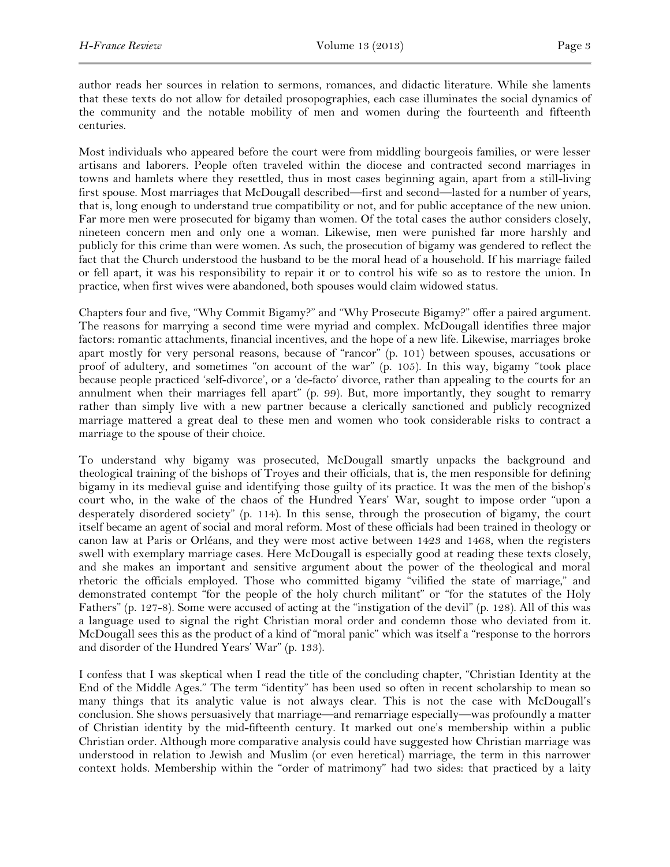author reads her sources in relation to sermons, romances, and didactic literature. While she laments that these texts do not allow for detailed prosopographies, each case illuminates the social dynamics of the community and the notable mobility of men and women during the fourteenth and fifteenth centuries.

Most individuals who appeared before the court were from middling bourgeois families, or were lesser artisans and laborers. People often traveled within the diocese and contracted second marriages in towns and hamlets where they resettled, thus in most cases beginning again, apart from a still-living first spouse. Most marriages that McDougall described—first and second—lasted for a number of years, that is, long enough to understand true compatibility or not, and for public acceptance of the new union. Far more men were prosecuted for bigamy than women. Of the total cases the author considers closely, nineteen concern men and only one a woman. Likewise, men were punished far more harshly and publicly for this crime than were women. As such, the prosecution of bigamy was gendered to reflect the fact that the Church understood the husband to be the moral head of a household. If his marriage failed or fell apart, it was his responsibility to repair it or to control his wife so as to restore the union. In practice, when first wives were abandoned, both spouses would claim widowed status.

Chapters four and five, "Why Commit Bigamy?" and "Why Prosecute Bigamy?" offer a paired argument. The reasons for marrying a second time were myriad and complex. McDougall identifies three major factors: romantic attachments, financial incentives, and the hope of a new life. Likewise, marriages broke apart mostly for very personal reasons, because of "rancor" (p. 101) between spouses, accusations or proof of adultery, and sometimes "on account of the war" (p. 105). In this way, bigamy "took place because people practiced 'self-divorce', or a 'de-facto' divorce, rather than appealing to the courts for an annulment when their marriages fell apart" (p. 99). But, more importantly, they sought to remarry rather than simply live with a new partner because a clerically sanctioned and publicly recognized marriage mattered a great deal to these men and women who took considerable risks to contract a marriage to the spouse of their choice.

To understand why bigamy was prosecuted, McDougall smartly unpacks the background and theological training of the bishops of Troyes and their officials, that is, the men responsible for defining bigamy in its medieval guise and identifying those guilty of its practice. It was the men of the bishop's court who, in the wake of the chaos of the Hundred Years' War, sought to impose order "upon a desperately disordered society" (p. 114). In this sense, through the prosecution of bigamy, the court itself became an agent of social and moral reform. Most of these officials had been trained in theology or canon law at Paris or Orléans, and they were most active between 1423 and 1468, when the registers swell with exemplary marriage cases. Here McDougall is especially good at reading these texts closely, and she makes an important and sensitive argument about the power of the theological and moral rhetoric the officials employed. Those who committed bigamy "vilified the state of marriage," and demonstrated contempt "for the people of the holy church militant" or "for the statutes of the Holy Fathers" (p. 127-8). Some were accused of acting at the "instigation of the devil" (p. 128). All of this was a language used to signal the right Christian moral order and condemn those who deviated from it. McDougall sees this as the product of a kind of "moral panic" which was itself a "response to the horrors and disorder of the Hundred Years' War" (p. 133).

I confess that I was skeptical when I read the title of the concluding chapter, "Christian Identity at the End of the Middle Ages." The term "identity" has been used so often in recent scholarship to mean so many things that its analytic value is not always clear. This is not the case with McDougall's conclusion. She shows persuasively that marriage—and remarriage especially—was profoundly a matter of Christian identity by the mid-fifteenth century. It marked out one's membership within a public Christian order. Although more comparative analysis could have suggested how Christian marriage was understood in relation to Jewish and Muslim (or even heretical) marriage, the term in this narrower context holds. Membership within the "order of matrimony" had two sides: that practiced by a laity